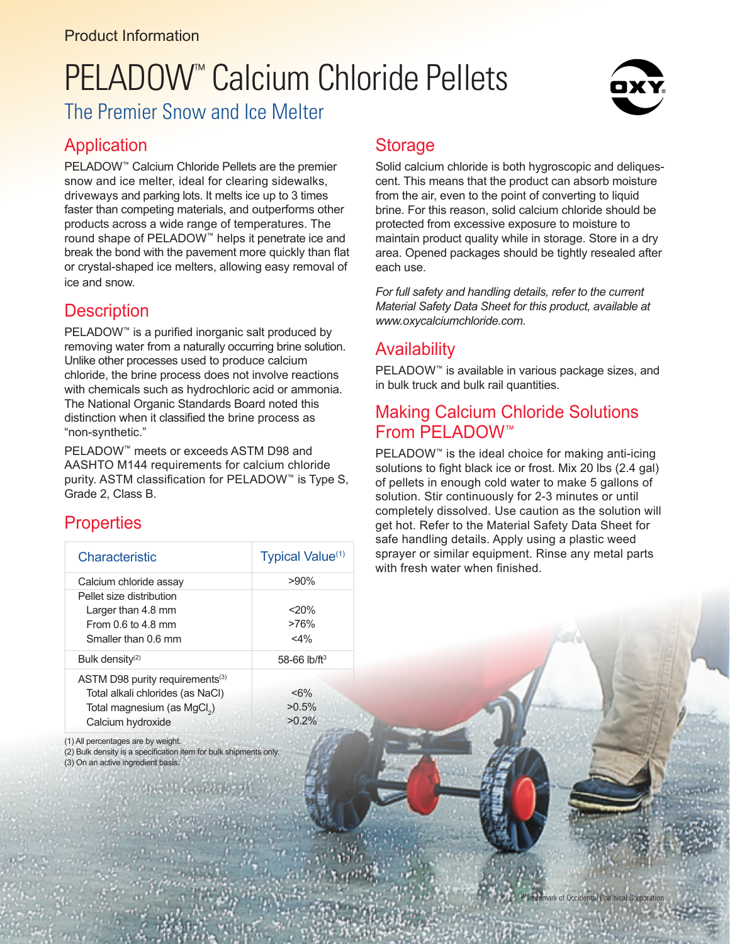# PELADOW<sup>™</sup> Calcium Chloride Pellets



## The Premier Snow and Ice Melter

### **Application**

PELADOW<sup>™</sup> Calcium Chloride Pellets are the premier snow and ice melter, ideal for clearing sidewalks, driveways and parking lots. It melts ice up to 3 times faster than competing materials, and outperforms other products across a wide range of temperatures. The round shape of PELADOW™ helps it penetrate ice and break the bond with the pavement more quickly than flat or crystal-shaped ice melters, allowing easy removal of ice and snow.

### **Description**

PELADOW<sup>™</sup> is a purified inorganic salt produced by removing water from a naturally occurring brine solution. Unlike other processes used to produce calcium chloride, the brine process does not involve reactions with chemicals such as hydrochloric acid or ammonia. The National Organic Standards Board noted this distinction when it classifed the brine process as "non-synthetic."

PELADOW™ meets or exceeds ASTM D98 and AASHTO M144 requirements for calcium chloride purity. ASTM classification for PELADOW<sup>™</sup> is Type S, Grade 2, Class B.

## Properties

| Characteristic                              | Typical Value <sup>(1)</sup> |
|---------------------------------------------|------------------------------|
| Calcium chloride assay                      | $>90\%$                      |
| Pellet size distribution                    |                              |
| Larger than 4.8 mm                          | $20\%$                       |
| From $0.6$ to $4.8$ mm                      | >76%                         |
| Smaller than 0.6 mm                         | $<$ 4%                       |
| Bulk density <sup>(2)</sup>                 | 58-66 $lb/ft^3$              |
| ASTM D98 purity requirements <sup>(3)</sup> |                              |
| Total alkali chlorides (as NaCl)            | $<\!\!6\!\%$                 |
| Total magnesium (as MgCl <sub>2</sub> )     | $>0.5\%$                     |
| Calcium hydroxide                           | $>0.2\%$                     |
|                                             |                              |

(1) All percentages are by weight.

(2) Bulk density is a specifcation item for bulk shipments only.

(3) On an active ingredient basis.

#### **Storage**

Solid calcium chloride is both hygroscopic and deliquescent. This means that the product can absorb moisture from the air, even to the point of converting to liquid brine. For this reason, solid calcium chloride should be protected from excessive exposure to moisture to maintain product quality while in storage. Store in a dry area. Opened packages should be tightly resealed after each use.

*For full safety and handling details, refer to the current Material Safety Data Sheet for this product, available at www.oxycalciumchloride.com.*

#### **Availability**

PELADOW<sup>™</sup> is available in various package sizes, and in bulk truck and bulk rail quantities.

#### Making Calcium Chloride Solutions From PELADOW™

PELADOW<sup>™</sup> is the ideal choice for making anti-icing solutions to fight black ice or frost. Mix 20 lbs (2.4 gal) of pellets in enough cold water to make 5 gallons of solution. Stir continuously for 2-3 minutes or until completely dissolved. Use caution as the solution will get hot. Refer to the Material Safety Data Sheet for safe handling details. Apply using a plastic weed sprayer or similar equipment. Rinse any metal parts with fresh water when finished.